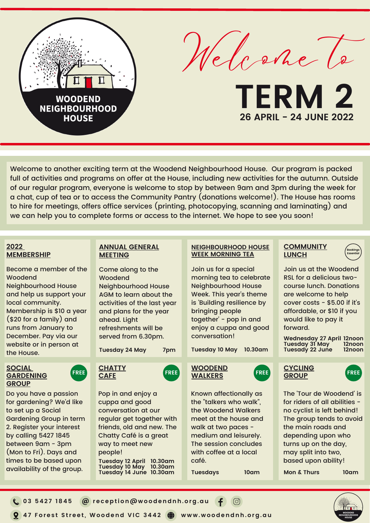



**TERM 2 26 APRIL - 24 JUNE 2022**

Welcome to another exciting term at the Woodend Neighbourhood House. Our program is packed full of activities and programs on offer at the House, including new activities for the autumn. Outside of our regular program, everyone is welcome to stop by between 9am and 3pm during the week for a chat, cup of tea or to access the Community Pantry (donations welcome!). The House has rooms to hire for meetings, offers office services (printing, photocopying, scanning and laminating) and we can help you to complete forms or access to the internet. We hope to see you soon!

# **2022 MEMBERSHIP**

Become a member of the Woodend Neighbourhood House and help us support your local community. Membership is \$10 a year (\$20 for a family) and runs from January to December. Pay via our website or in person at the House.

#### **SOCIAL GARDENING GROUP**

Do you have a passion for gardening? We'd like to set up a Social Gardening Group in term 2. Register your interest by calling 5427 1845 between 9am - 3pm (Mon to Fri). Days and times to be based upon availability of the group.

## **ANNUAL GENERAL MEETING**

Come along to the Woodend Neighbourhood House AGM to learn about the activities of the last year and plans for the year ahead. Light refreshments will be served from 6.30pm.

**Tuesday 24 May 7pm**



**FREE**

Pop in and enjoy a cuppa and good conversation at our regular get together with friends, old and new. The Chatty Café is a great way to meet new people! **Tuesday 12 April Tuesday 10 May Tuesday 14 June 10.30am 10.30am 10.30am**

## **NEIGHBOURHOOD HOUSE WEEK MORNING TEA**

Join us for a special morning tea to celebrate Neighbourhood House Week. This year's theme is 'Building resilience by bringing people together' - pop in and enjoy a cuppa and good conversation!

**Tuesday 10 May 10.30am**

Known affectionally as the "talkers who walk", the Woodend Walkers meet at the house and walk at two paces medium and leisurely. The session concludes with coffee at a local

**Tuesdays 10am**

café.

**WOODEND WALKERS**

**COMMUNITY LUNCH**

**Bookings Essential**

Join us at the Woodend RSL for a delicious twocourse lunch. Donations are welcome to help cover costs - \$5.00 if it's affordable, or \$10 if you would like to pay it forward.

**Wednesday 27 April Tuesday 31 May Tuesady 22 June 12noon 12noon 12noon**





**Mon & Thurs 10am** The 'Tour de Woodend' is for riders of all abilities no cyclist is left behind! The group tends to avoid the main roads and depending upon who turns up on the day, may split into two, based upon ability!

**03 542 7 1845 r e c eption@w oodendnh.org.au**  $\bigcirc$ 

**47 For e s t S t r e e t, Woodend V I C 3442 w w w . w oodendnh.org.au**